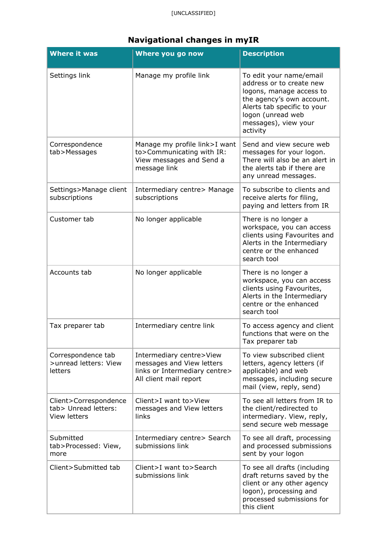| <b>Where it was</b>                                                  | Where you go now                                                                                                 | <b>Description</b>                                                                                                                                                                                   |
|----------------------------------------------------------------------|------------------------------------------------------------------------------------------------------------------|------------------------------------------------------------------------------------------------------------------------------------------------------------------------------------------------------|
| Settings link                                                        | Manage my profile link                                                                                           | To edit your name/email<br>address or to create new<br>logons, manage access to<br>the agency's own account.<br>Alerts tab specific to your<br>logon (unread web<br>messages), view your<br>activity |
| Correspondence<br>tab>Messages                                       | Manage my profile link>I want<br>to>Communicating with IR:<br>View messages and Send a<br>message link           | Send and view secure web<br>messages for your logon.<br>There will also be an alert in<br>the alerts tab if there are<br>any unread messages.                                                        |
| Settings>Manage client<br>subscriptions                              | Intermediary centre> Manage<br>subscriptions                                                                     | To subscribe to clients and<br>receive alerts for filing,<br>paying and letters from IR                                                                                                              |
| Customer tab                                                         | No longer applicable                                                                                             | There is no longer a<br>workspace, you can access<br>clients using Favourites and<br>Alerts in the Intermediary<br>centre or the enhanced<br>search tool                                             |
| Accounts tab                                                         | No longer applicable                                                                                             | There is no longer a<br>workspace, you can access<br>clients using Favourites,<br>Alerts in the Intermediary<br>centre or the enhanced<br>search tool                                                |
| Tax preparer tab                                                     | Intermediary centre link                                                                                         | To access agency and client<br>functions that were on the<br>Tax preparer tab                                                                                                                        |
| Correspondence tab<br>>unread letters: View<br>letters               | Intermediary centre>View<br>messages and View letters<br>links or Intermediary centre><br>All client mail report | To view subscribed client<br>letters, agency letters (if<br>applicable) and web<br>messages, including secure<br>mail (view, reply, send)                                                            |
| Client>Correspondence<br>tab> Unread letters:<br><b>View letters</b> | Client>I want to>View<br>messages and View letters<br>links                                                      | To see all letters from IR to<br>the client/redirected to<br>intermediary. View, reply,<br>send secure web message                                                                                   |
| Submitted<br>tab>Processed: View,<br>more                            | Intermediary centre> Search<br>submissions link                                                                  | To see all draft, processing<br>and processed submissions<br>sent by your logon                                                                                                                      |
| Client>Submitted tab                                                 | Client>I want to>Search<br>submissions link                                                                      | To see all drafts (including<br>draft returns saved by the<br>client or any other agency<br>logon), processing and<br>processed submissions for<br>this client                                       |

## **Navigational changes in myIR**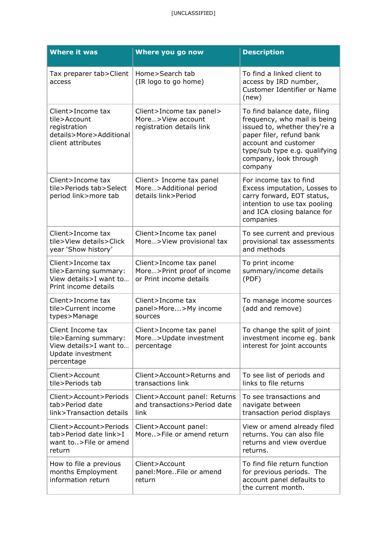| <b>Where it was</b>                                                                                     | Where you go now                                                                 | <b>Description</b>                                                                                                                                                                                                    |
|---------------------------------------------------------------------------------------------------------|----------------------------------------------------------------------------------|-----------------------------------------------------------------------------------------------------------------------------------------------------------------------------------------------------------------------|
| Tax preparer tab>Client<br>access                                                                       | Home>Search tab<br>(IR logo to go home)                                          | To find a linked client to<br>access by IRD number,<br>Customer Identifier or Name<br>(new)                                                                                                                           |
| Client>Income tax<br>tile>Account<br>registration<br>details>More>Additional<br>client attributes       | Client>Income tax panel><br>More>View account<br>registration details link       | To find balance date, filing<br>frequency, who mail is being<br>issued to, whether they're a<br>paper filer, refund bank<br>account and customer<br>type/sub type e.g. qualifying<br>company, look through<br>company |
| Client>Income tax<br>tile>Periods tab>Select<br>period link>more tab                                    | Client> Income tax panel<br>More>Additional period<br>details link>Period        | For income tax to find<br>Excess imputation, Losses to<br>carry forward, EOT status,<br>intention to use tax pooling<br>and ICA closing balance for<br>companies                                                      |
| Client>Income tax<br>tile>View details>Click<br>year 'Show history'                                     | Client>Income tax panel<br>More>View provisional tax                             | To see current and previous<br>provisional tax assessments<br>and methods                                                                                                                                             |
| Client>Income tax<br>tile>Earning summary:<br>View details>I want to<br>Print income details            | Client>Income tax panel<br>More>Print proof of income<br>or Print income details | To print income<br>summary/income details<br>(PDF)                                                                                                                                                                    |
| Client>Income tax<br>tile>Current income<br>types>Manage                                                | Client>Income tax<br>panel>More>My income<br>sources                             | To manage income sources<br>(add and remove)                                                                                                                                                                          |
| Client Income tax<br>tile>Earning summary:<br>View details>I want to<br>Update investment<br>percentage | Client>Income tax panel<br>More>Update investment<br>percentage                  | To change the split of joint<br>investment income eg. bank<br>interest for joint accounts                                                                                                                             |
| Client>Account<br>tile>Periods tab                                                                      | Client>Account>Returns and<br>transactions link                                  | To see list of periods and<br>links to file returns                                                                                                                                                                   |
| Client>Account>Periods<br>tab>Period date<br>link>Transaction details                                   | Client>Account panel: Returns<br>and transactions>Period date<br>link            | To see transactions and<br>navigate between<br>transaction period displays                                                                                                                                            |
| Client>Account>Periods<br>tab>Period date link>I<br>want to>File or amend<br>return                     | Client>Account panel:<br>More>File or amend return                               | View or amend already filed<br>returns. You can also file<br>returns and view overdue<br>returns.                                                                                                                     |
| How to file a previous<br>months Employment<br>information return                                       | Client>Account<br>panel: MoreFile or amend<br>return                             | To find file return function<br>for previous periods. The<br>account panel defaults to<br>the current month.                                                                                                          |